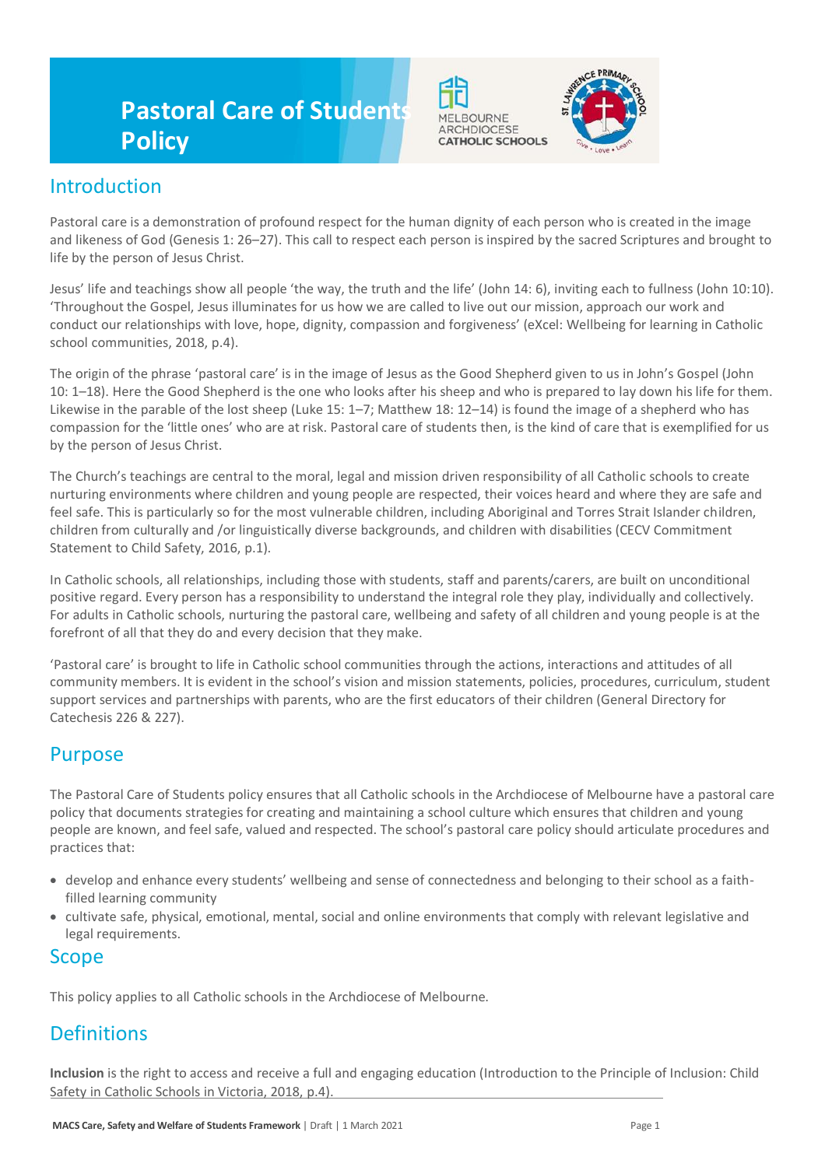# **Pastoral Care of Students Policy**



## Introduction

Pastoral care is a demonstration of profound respect for the human dignity of each person who is created in the image and likeness of God (Genesis 1: 26–27). This call to respect each person is inspired by the sacred Scriptures and brought to life by the person of Jesus Christ.

Jesus' life and teachings show all people 'the way, the truth and the life' (John 14: 6), inviting each to fullness (John 10:10). 'Throughout the Gospel, Jesus illuminates for us how we are called to live out our mission, approach our work and conduct our relationships with love, hope, dignity, compassion and forgiveness' (eXcel: Wellbeing for learning in Catholic school communities, 2018, p.4).

The origin of the phrase 'pastoral care' is in the image of Jesus as the Good Shepherd given to us in John's Gospel (John 10: 1–18). Here the Good Shepherd is the one who looks after his sheep and who is prepared to lay down his life for them. Likewise in the parable of the lost sheep (Luke 15: 1–7; Matthew 18: 12–14) is found the image of a shepherd who has compassion for the 'little ones' who are at risk. Pastoral care of students then, is the kind of care that is exemplified for us by the person of Jesus Christ.

The Church's teachings are central to the moral, legal and mission driven responsibility of all Catholic schools to create nurturing environments where children and young people are respected, their voices heard and where they are safe and feel safe. This is particularly so for the most vulnerable children, including Aboriginal and Torres Strait Islander children, children from culturally and /or linguistically diverse backgrounds, and children with disabilities (CECV Commitment Statement to Child Safety, 2016, p.1).

In Catholic schools, all relationships, including those with students, staff and parents/carers, are built on unconditional positive regard. Every person has a responsibility to understand the integral role they play, individually and collectively. For adults in Catholic schools, nurturing the pastoral care, wellbeing and safety of all children and young people is at the forefront of all that they do and every decision that they make.

'Pastoral care' is brought to life in Catholic school communities through the actions, interactions and attitudes of all community members. It is evident in the school's vision and mission statements, policies, procedures, curriculum, student support services and partnerships with parents, who are the first educators of their children (General Directory for Catechesis 226 & 227).

### Purpose

The Pastoral Care of Students policy ensures that all Catholic schools in the Archdiocese of Melbourne have a pastoral care policy that documents strategies for creating and maintaining a school culture which ensures that children and young people are known, and feel safe, valued and respected. The school's pastoral care policy should articulate procedures and practices that:

- develop and enhance every students' wellbeing and sense of connectedness and belonging to their school as a faithfilled learning community
- cultivate safe, physical, emotional, mental, social and online environments that comply with relevant legislative and legal requirements.

### Scope

This policy applies to all Catholic schools in the Archdiocese of Melbourne.

## **Definitions**

**Inclusion** is the right to access and receive a full and engaging education (Introduction to the Principle of Inclusion: Child Safety in Catholic Schools in Victoria, 2018, p.4).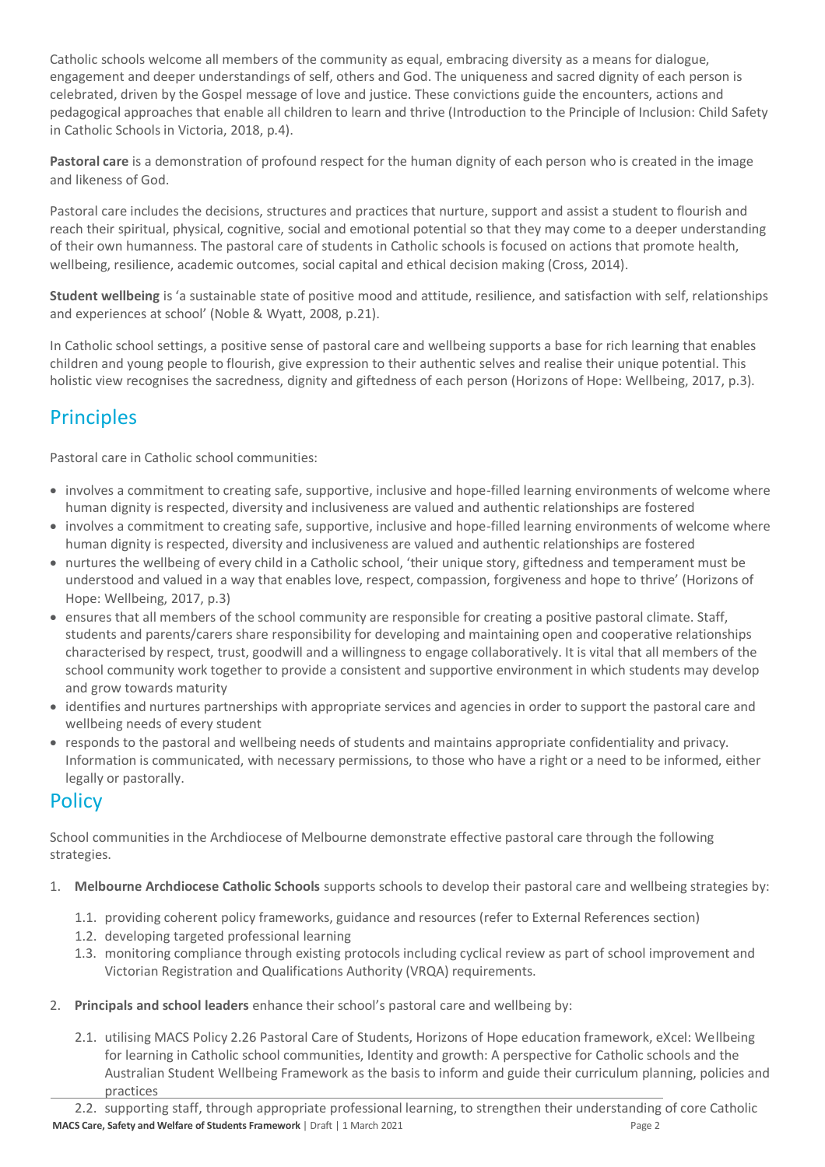Catholic schools welcome all members of the community as equal, embracing diversity as a means for dialogue, engagement and deeper understandings of self, others and God. The uniqueness and sacred dignity of each person is celebrated, driven by the Gospel message of love and justice. These convictions guide the encounters, actions and pedagogical approaches that enable all children to learn and thrive (Introduction to the Principle of Inclusion: Child Safety in Catholic Schools in Victoria, 2018, p.4).

**Pastoral care** is a demonstration of profound respect for the human dignity of each person who is created in the image and likeness of God.

Pastoral care includes the decisions, structures and practices that nurture, support and assist a student to flourish and reach their spiritual, physical, cognitive, social and emotional potential so that they may come to a deeper understanding of their own humanness. The pastoral care of students in Catholic schools is focused on actions that promote health, wellbeing, resilience, academic outcomes, social capital and ethical decision making (Cross, 2014).

**Student wellbeing** is 'a sustainable state of positive mood and attitude, resilience, and satisfaction with self, relationships and experiences at school' (Noble & Wyatt, 2008, p.21).

In Catholic school settings, a positive sense of pastoral care and wellbeing supports a base for rich learning that enables children and young people to flourish, give expression to their authentic selves and realise their unique potential. This holistic view recognises the sacredness, dignity and giftedness of each person (Horizons of Hope: Wellbeing, 2017, p.3).

## **Principles**

Pastoral care in Catholic school communities:

- involves a commitment to creating safe, supportive, inclusive and hope-filled learning environments of welcome where human dignity is respected, diversity and inclusiveness are valued and authentic relationships are fostered
- involves a commitment to creating safe, supportive, inclusive and hope-filled learning environments of welcome where human dignity is respected, diversity and inclusiveness are valued and authentic relationships are fostered
- nurtures the wellbeing of every child in a Catholic school, 'their unique story, giftedness and temperament must be understood and valued in a way that enables love, respect, compassion, forgiveness and hope to thrive' (Horizons of Hope: Wellbeing, 2017, p.3)
- ensures that all members of the school community are responsible for creating a positive pastoral climate. Staff, students and parents/carers share responsibility for developing and maintaining open and cooperative relationships characterised by respect, trust, goodwill and a willingness to engage collaboratively. It is vital that all members of the school community work together to provide a consistent and supportive environment in which students may develop and grow towards maturity
- identifies and nurtures partnerships with appropriate services and agencies in order to support the pastoral care and wellbeing needs of every student
- responds to the pastoral and wellbeing needs of students and maintains appropriate confidentiality and privacy. Information is communicated, with necessary permissions, to those who have a right or a need to be informed, either legally or pastorally.

## **Policy**

School communities in the Archdiocese of Melbourne demonstrate effective pastoral care through the following strategies.

- 1. **Melbourne Archdiocese Catholic Schools** supports schools to develop their pastoral care and wellbeing strategies by:
	- 1.1. providing coherent policy frameworks, guidance and resources (refer to External References section)
	- 1.2. developing targeted professional learning
	- 1.3. monitoring compliance through existing protocols including cyclical review as part of school improvement and Victorian Registration and Qualifications Authority (VRQA) requirements.
- 2. **Principals and school leaders** enhance their school's pastoral care and wellbeing by:
	- 2.1. utilising MACS Policy 2.26 Pastoral Care of Students, Horizons of Hope education framework, eXcel: Wellbeing for learning in Catholic school communities, Identity and growth: A perspective for Catholic schools and the Australian Student Wellbeing Framework as the basis to inform and guide their curriculum planning, policies and practices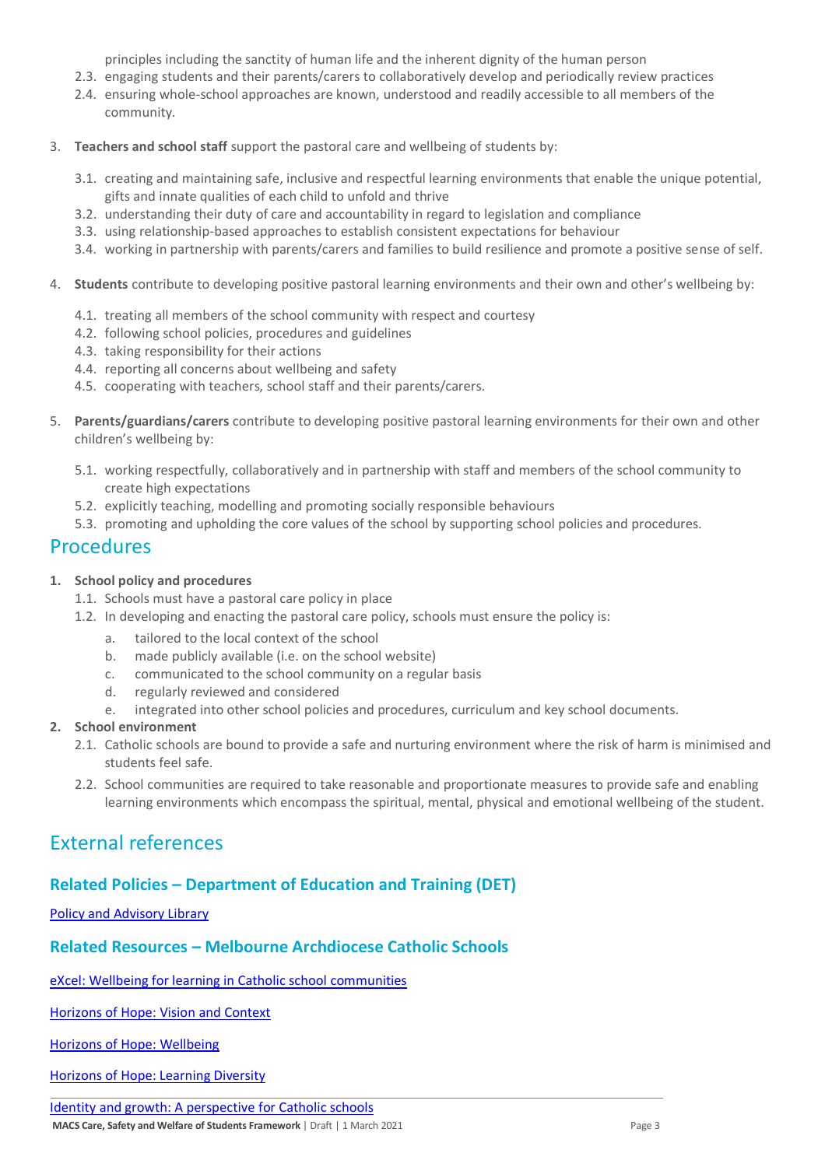principles including the sanctity of human life and the inherent dignity of the human person

- 2.3. engaging students and their parents/carers to collaboratively develop and periodically review practices
- 2.4. ensuring whole-school approaches are known, understood and readily accessible to all members of the community.
- 3. **Teachers and school staff** support the pastoral care and wellbeing of students by:
	- 3.1. creating and maintaining safe, inclusive and respectful learning environments that enable the unique potential, gifts and innate qualities of each child to unfold and thrive
	- 3.2. understanding their duty of care and accountability in regard to legislation and compliance
	- 3.3. using relationship-based approaches to establish consistent expectations for behaviour
	- 3.4. working in partnership with parents/carers and families to build resilience and promote a positive sense of self.
- 4. **Students** contribute to developing positive pastoral learning environments and their own and other's wellbeing by:
	- 4.1. treating all members of the school community with respect and courtesy
	- 4.2. following school policies, procedures and guidelines
	- 4.3. taking responsibility for their actions
	- 4.4. reporting all concerns about wellbeing and safety
	- 4.5. cooperating with teachers, school staff and their parents/carers.
- 5. **Parents/guardians/carers** contribute to developing positive pastoral learning environments for their own and other children's wellbeing by:
	- 5.1. working respectfully, collaboratively and in partnership with staff and members of the school community to create high expectations
	- 5.2. explicitly teaching, modelling and promoting socially responsible behaviours
	- 5.3. promoting and upholding the core values of the school by supporting school policies and procedures.

### **Procedures**

#### **1. School policy and procedures**

- 1.1. Schools must have a pastoral care policy in place
- 1.2. In developing and enacting the pastoral care policy, schools must ensure the policy is:
	- a. tailored to the local context of the school
	- b. made publicly available (i.e. on the school website)
	- c. communicated to the school community on a regular basis
	- d. regularly reviewed and considered
	- e. integrated into other school policies and procedures, curriculum and key school documents.

#### **2. School environment**

- 2.1. Catholic schools are bound to provide a safe and nurturing environment where the risk of harm is minimised and students feel safe.
- 2.2. School communities are required to take reasonable and proportionate measures to provide safe and enabling learning environments which encompass the spiritual, mental, physical and emotional wellbeing of the student.

## External references

### **Related Policies – Department of Education and Training (DET)**

#### [Policy and Advisory Library](https://www2.education.vic.gov.au/pal)

#### **Related Resources – Melbourne Archdiocese Catholic Schools**

[eXcel: Wellbeing for learning in Catholic school communities](https://www.cem.edu.au/Our-Schools/Curriculum-Learning-Programs/Student-Wellbeing/eXcel.aspx)

[Horizons of Hope: Vision and Context](https://www.cem.edu.au/Our-Schools/Curriculum-Learning-Programs/Horizons-of-Hope/Vision-Context.aspx)

[Horizons of Hope: Wellbeing](https://www.cem.edu.au/Our-Schools/Curriculum-Learning-Programs/Student-Wellbeing.aspx)

[Horizons of Hope: Learning Diversity](https://www.cem.edu.au/Our-Schools/Curriculum-Learning-Programs/Horizons-of-Hope/Learning-Diversity.aspx)